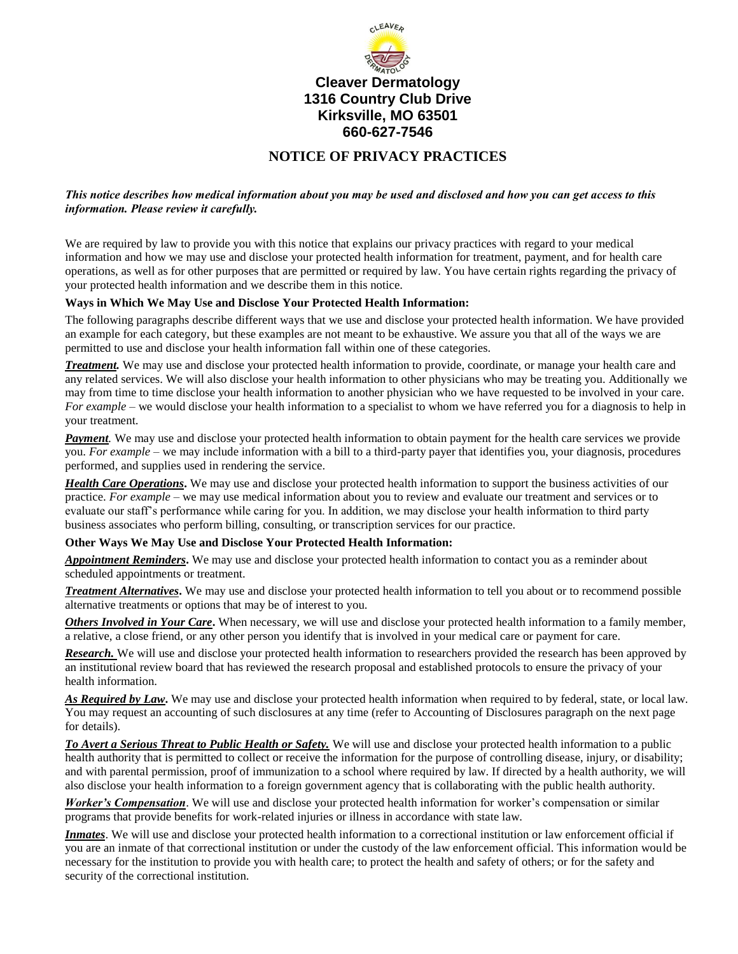

# **Cleaver Dermatology 1316 Country Club Drive Kirksville, MO 63501 660-627-7546**

# **NOTICE OF PRIVACY PRACTICES**

## *This notice describes how medical information about you may be used and disclosed and how you can get access to this information. Please review it carefully.*

We are required by law to provide you with this notice that explains our privacy practices with regard to your medical information and how we may use and disclose your protected health information for treatment, payment, and for health care operations, as well as for other purposes that are permitted or required by law. You have certain rights regarding the privacy of your protected health information and we describe them in this notice.

#### **Ways in Which We May Use and Disclose Your Protected Health Information:**

The following paragraphs describe different ways that we use and disclose your protected health information. We have provided an example for each category, but these examples are not meant to be exhaustive. We assure you that all of the ways we are permitted to use and disclose your health information fall within one of these categories.

*Treatment.* We may use and disclose your protected health information to provide, coordinate, or manage your health care and any related services. We will also disclose your health information to other physicians who may be treating you. Additionally we may from time to time disclose your health information to another physician who we have requested to be involved in your care. *For example* – we would disclose your health information to a specialist to whom we have referred you for a diagnosis to help in your treatment.

*Payment*. We may use and disclose your protected health information to obtain payment for the health care services we provide you. *For example* – we may include information with a bill to a third-party payer that identifies you, your diagnosis, procedures performed, and supplies used in rendering the service.

*Health Care Operations***.** We may use and disclose your protected health information to support the business activities of our practice. *For example* – we may use medical information about you to review and evaluate our treatment and services or to evaluate our staff's performance while caring for you. In addition, we may disclose your health information to third party business associates who perform billing, consulting, or transcription services for our practice.

#### **Other Ways We May Use and Disclose Your Protected Health Information:**

*Appointment Reminders***.** We may use and disclose your protected health information to contact you as a reminder about scheduled appointments or treatment.

*Treatment Alternatives***.** We may use and disclose your protected health information to tell you about or to recommend possible alternative treatments or options that may be of interest to you.

*Others Involved in Your Care***.** When necessary, we will use and disclose your protected health information to a family member, a relative, a close friend, or any other person you identify that is involved in your medical care or payment for care.

*Research.* We will use and disclose your protected health information to researchers provided the research has been approved by an institutional review board that has reviewed the research proposal and established protocols to ensure the privacy of your health information.

*As Required by Law***.** We may use and disclose your protected health information when required to by federal, state, or local law. You may request an accounting of such disclosures at any time (refer to Accounting of Disclosures paragraph on the next page for details).

*To Avert a Serious Threat to Public Health or Safety.* We will use and disclose your protected health information to a public health authority that is permitted to collect or receive the information for the purpose of controlling disease, injury, or disability; and with parental permission, proof of immunization to a school where required by law. If directed by a health authority, we will also disclose your health information to a foreign government agency that is collaborating with the public health authority.

*Worker's Compensation*. We will use and disclose your protected health information for worker's compensation or similar programs that provide benefits for work-related injuries or illness in accordance with state law.

*Inmates*. We will use and disclose your protected health information to a correctional institution or law enforcement official if you are an inmate of that correctional institution or under the custody of the law enforcement official. This information would be necessary for the institution to provide you with health care; to protect the health and safety of others; or for the safety and security of the correctional institution.